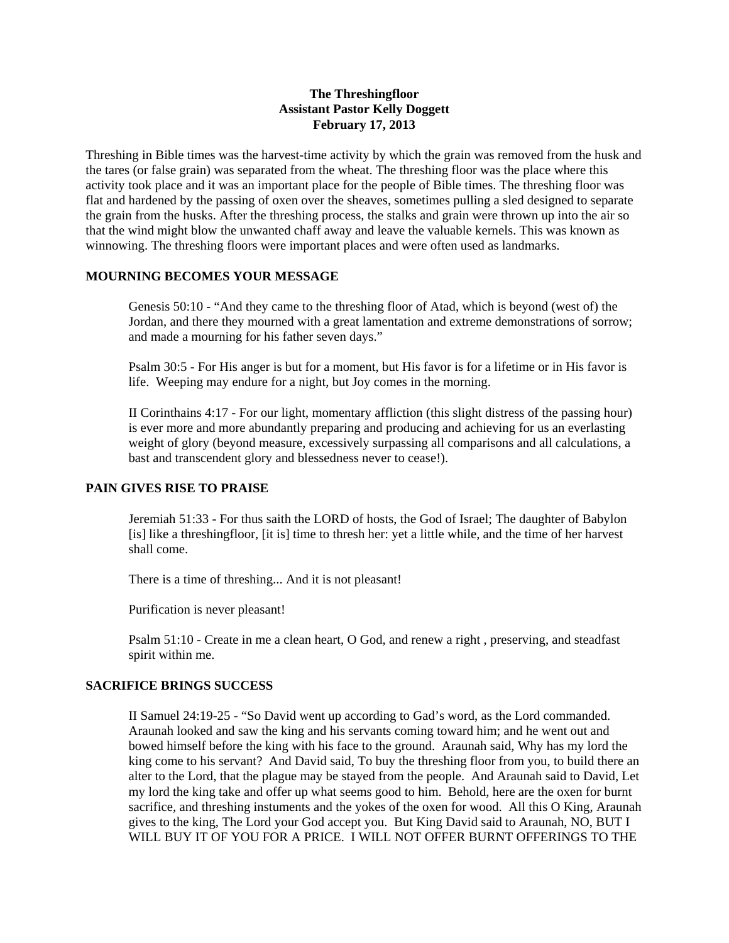# **The Threshingfloor Assistant Pastor Kelly Doggett February 17, 2013**

Threshing in Bible times was the harvest-time activity by which the grain was removed from the husk and the tares (or false grain) was separated from the wheat. The threshing floor was the place where this activity took place and it was an important place for the people of Bible times. The threshing floor was flat and hardened by the passing of oxen over the sheaves, sometimes pulling a sled designed to separate the grain from the husks. After the threshing process, the stalks and grain were thrown up into the air so that the wind might blow the unwanted chaff away and leave the valuable kernels. This was known as winnowing. The threshing floors were important places and were often used as landmarks.

# **MOURNING BECOMES YOUR MESSAGE**

Genesis 50:10 - "And they came to the threshing floor of Atad, which is beyond (west of) the Jordan, and there they mourned with a great lamentation and extreme demonstrations of sorrow; and made a mourning for his father seven days."

Psalm 30:5 - For His anger is but for a moment, but His favor is for a lifetime or in His favor is life. Weeping may endure for a night, but Joy comes in the morning.

II Corinthains 4:17 - For our light, momentary affliction (this slight distress of the passing hour) is ever more and more abundantly preparing and producing and achieving for us an everlasting weight of glory (beyond measure, excessively surpassing all comparisons and all calculations, a bast and transcendent glory and blessedness never to cease!).

## **PAIN GIVES RISE TO PRAISE**

Jeremiah 51:33 - For thus saith the LORD of hosts, the God of Israel; The daughter of Babylon [is] like a threshingfloor, [it is] time to thresh her: yet a little while, and the time of her harvest shall come.

There is a time of threshing... And it is not pleasant!

Purification is never pleasant!

Psalm 51:10 - Create in me a clean heart, O God, and renew a right , preserving, and steadfast spirit within me.

#### **SACRIFICE BRINGS SUCCESS**

II Samuel 24:19-25 - "So David went up according to Gad's word, as the Lord commanded. Araunah looked and saw the king and his servants coming toward him; and he went out and bowed himself before the king with his face to the ground. Araunah said, Why has my lord the king come to his servant? And David said, To buy the threshing floor from you, to build there an alter to the Lord, that the plague may be stayed from the people. And Araunah said to David, Let my lord the king take and offer up what seems good to him. Behold, here are the oxen for burnt sacrifice, and threshing instuments and the yokes of the oxen for wood. All this O King, Araunah gives to the king, The Lord your God accept you. But King David said to Araunah, NO, BUT I WILL BUY IT OF YOU FOR A PRICE. I WILL NOT OFFER BURNT OFFERINGS TO THE